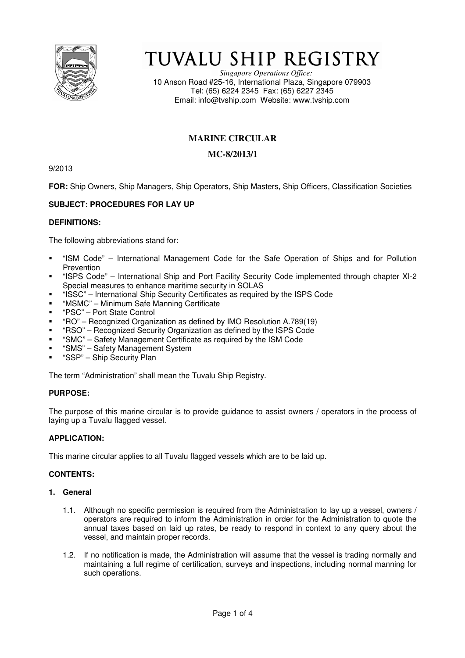

# TUVALU SHIP REGISTRY

*Singapore Operations Office:* 10 Anson Road #25-16, International Plaza, Singapore 079903 Tel: (65) 6224 2345 Fax: (65) 6227 2345 Email: info@tvship.com Website: www.tvship.com

## **MARINE CIRCULAR**

## **MC-8/2013/1**

9/2013

**FOR:** Ship Owners, Ship Managers, Ship Operators, Ship Masters, Ship Officers, Classification Societies

## **SUBJECT: PROCEDURES FOR LAY UP**

#### **DEFINITIONS:**

The following abbreviations stand for:

- "ISM Code" International Management Code for the Safe Operation of Ships and for Pollution Prevention
- "ISPS Code" International Ship and Port Facility Security Code implemented through chapter XI-2 Special measures to enhance maritime security in SOLAS
- "ISSC" International Ship Security Certificates as required by the ISPS Code
- "MSMC" Minimum Safe Manning Certificate
- "PSC" Port State Control
- "RO" Recognized Organization as defined by IMO Resolution A.789(19)
- "RSO" Recognized Security Organization as defined by the ISPS Code
- "SMC" Safety Management Certificate as required by the ISM Code
- "SMS" Safety Management System
- "SSP" Ship Security Plan

The term "Administration" shall mean the Tuvalu Ship Registry.

## **PURPOSE:**

The purpose of this marine circular is to provide guidance to assist owners / operators in the process of laying up a Tuvalu flagged vessel.

## **APPLICATION:**

This marine circular applies to all Tuvalu flagged vessels which are to be laid up.

## **CONTENTS:**

#### **1. General**

- 1.1. Although no specific permission is required from the Administration to lay up a vessel, owners / operators are required to inform the Administration in order for the Administration to quote the annual taxes based on laid up rates, be ready to respond in context to any query about the vessel, and maintain proper records.
- 1.2. If no notification is made, the Administration will assume that the vessel is trading normally and maintaining a full regime of certification, surveys and inspections, including normal manning for such operations.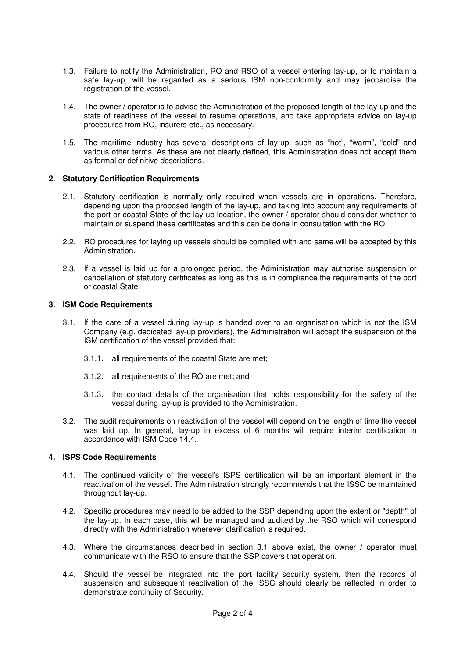- 1.3. Failure to notify the Administration, RO and RSO of a vessel entering lay-up, or to maintain a safe lay-up, will be regarded as a serious ISM non-conformity and may jeopardise the registration of the vessel.
- 1.4. The owner / operator is to advise the Administration of the proposed length of the lay-up and the state of readiness of the vessel to resume operations, and take appropriate advice on lay-up procedures from RO, insurers etc., as necessary.
- 1.5. The maritime industry has several descriptions of lay-up, such as "hot", "warm", "cold" and various other terms. As these are not clearly defined, this Administration does not accept them as formal or definitive descriptions.

#### **2. Statutory Certification Requirements**

- 2.1. Statutory certification is normally only required when vessels are in operations. Therefore, depending upon the proposed length of the lay-up, and taking into account any requirements of the port or coastal State of the lay-up location, the owner / operator should consider whether to maintain or suspend these certificates and this can be done in consultation with the RO.
- 2.2. RO procedures for laying up vessels should be complied with and same will be accepted by this Administration.
- 2.3. If a vessel is laid up for a prolonged period, the Administration may authorise suspension or cancellation of statutory certificates as long as this is in compliance the requirements of the port or coastal State.

#### **3. ISM Code Requirements**

- 3.1. If the care of a vessel during lay-up is handed over to an organisation which is not the ISM Company (e.g. dedicated lay-up providers), the Administration will accept the suspension of the ISM certification of the vessel provided that:
	- 3.1.1. all requirements of the coastal State are met;
	- 3.1.2. all requirements of the RO are met; and
	- 3.1.3. the contact details of the organisation that holds responsibility for the safety of the vessel during lay-up is provided to the Administration.
- 3.2. The audit requirements on reactivation of the vessel will depend on the length of time the vessel was laid up. In general, lay-up in excess of 6 months will require interim certification in accordance with ISM Code 14.4.

#### **4. ISPS Code Requirements**

- 4.1. The continued validity of the vessel's ISPS certification will be an important element in the reactivation of the vessel. The Administration strongly recommends that the ISSC be maintained throughout lay-up.
- 4.2. Specific procedures may need to be added to the SSP depending upon the extent or "depth" of the lay-up. In each case, this will be managed and audited by the RSO which will correspond directly with the Administration wherever clarification is required.
- 4.3. Where the circumstances described in section 3.1 above exist, the owner / operator must communicate with the RSO to ensure that the SSP covers that operation.
- 4.4. Should the vessel be integrated into the port facility security system, then the records of suspension and subsequent reactivation of the ISSC should clearly be reflected in order to demonstrate continuity of Security.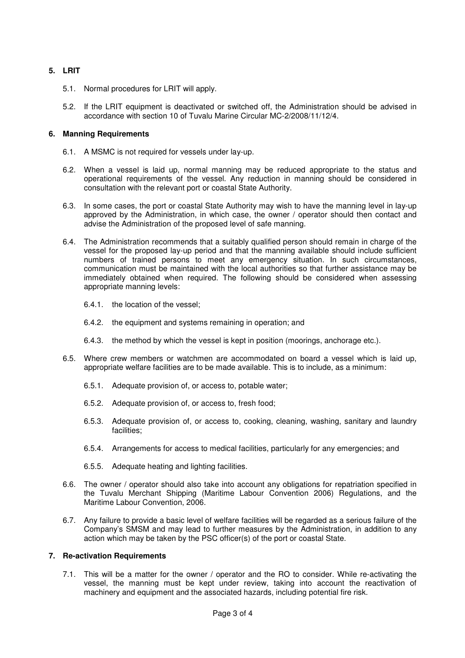#### **5. LRIT**

- 5.1. Normal procedures for LRIT will apply.
- 5.2. If the LRIT equipment is deactivated or switched off, the Administration should be advised in accordance with section 10 of Tuvalu Marine Circular MC-2/2008/11/12/4.

#### **6. Manning Requirements**

- 6.1. A MSMC is not required for vessels under lay-up.
- 6.2. When a vessel is laid up, normal manning may be reduced appropriate to the status and operational requirements of the vessel. Any reduction in manning should be considered in consultation with the relevant port or coastal State Authority.
- 6.3. In some cases, the port or coastal State Authority may wish to have the manning level in lay-up approved by the Administration, in which case, the owner / operator should then contact and advise the Administration of the proposed level of safe manning.
- 6.4. The Administration recommends that a suitably qualified person should remain in charge of the vessel for the proposed lay-up period and that the manning available should include sufficient numbers of trained persons to meet any emergency situation. In such circumstances, communication must be maintained with the local authorities so that further assistance may be immediately obtained when required. The following should be considered when assessing appropriate manning levels:
	- 6.4.1. the location of the vessel;
	- 6.4.2. the equipment and systems remaining in operation; and
	- 6.4.3. the method by which the vessel is kept in position (moorings, anchorage etc.).
- 6.5. Where crew members or watchmen are accommodated on board a vessel which is laid up, appropriate welfare facilities are to be made available. This is to include, as a minimum:
	- 6.5.1. Adequate provision of, or access to, potable water;
	- 6.5.2. Adequate provision of, or access to, fresh food;
	- 6.5.3. Adequate provision of, or access to, cooking, cleaning, washing, sanitary and laundry facilities:
	- 6.5.4. Arrangements for access to medical facilities, particularly for any emergencies; and
	- 6.5.5. Adequate heating and lighting facilities.
- 6.6. The owner / operator should also take into account any obligations for repatriation specified in the Tuvalu Merchant Shipping (Maritime Labour Convention 2006) Regulations, and the Maritime Labour Convention, 2006.
- 6.7. Any failure to provide a basic level of welfare facilities will be regarded as a serious failure of the Company's SMSM and may lead to further measures by the Administration, in addition to any action which may be taken by the PSC officer(s) of the port or coastal State.

#### **7. Re-activation Requirements**

7.1. This will be a matter for the owner / operator and the RO to consider. While re-activating the vessel, the manning must be kept under review, taking into account the reactivation of machinery and equipment and the associated hazards, including potential fire risk.